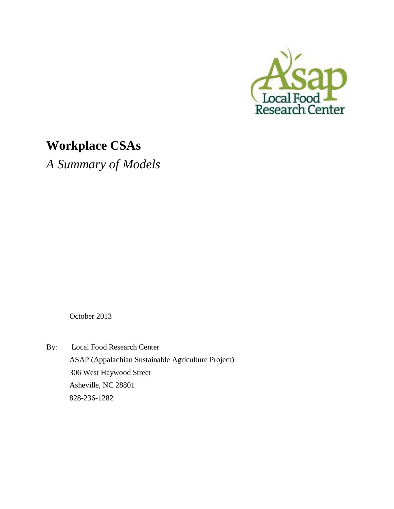

# **Workplace CSAs**

*A Summary of Models* 

October 2013

By: Local Food Research Center ASAP (Appalachian Sustainable Agriculture Project) 306 West Haywood Street Asheville, NC 28801 828-236-1282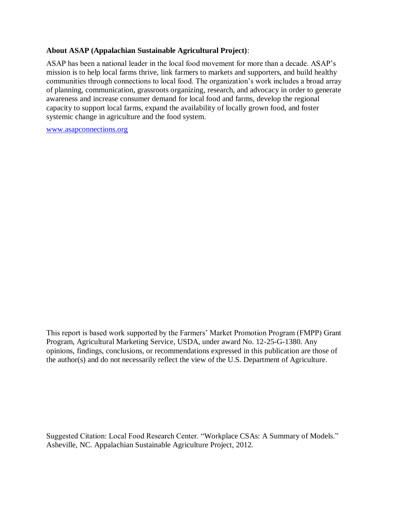## **About ASAP (Appalachian Sustainable Agricultural Project)**:

ASAP has been a national leader in the local food movement for more than a decade. ASAP's mission is to help local farms thrive, link farmers to markets and supporters, and build healthy communities through connections to local food. The organization's work includes a broad array of planning, communication, grassroots organizing, research, and advocacy in order to generate awareness and increase consumer demand for local food and farms, develop the regional capacity to support local farms, expand the availability of locally grown food, and foster systemic change in agriculture and the food system.

[www.asapconnections.org](http://www.asapconnections.org/)

This report is based work supported by the Farmers' Market Promotion Program (FMPP) Grant Program, Agricultural Marketing Service, USDA, under award No. 12-25-G-1380. Any opinions, findings, conclusions, or recommendations expressed in this publication are those of the author(s) and do not necessarily reflect the view of the U.S. Department of Agriculture.

Suggested Citation: Local Food Research Center. "Workplace CSAs: A Summary of Models." Asheville, NC. Appalachian Sustainable Agriculture Project, 2012.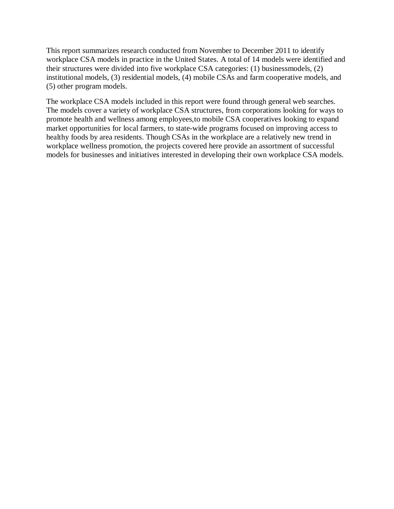This report summarizes research conducted from November to December 2011 to identify workplace CSA models in practice in the United States. A total of 14 models were identified and their structures were divided into five workplace CSA categories: (1) businessmodels, (2) institutional models, (3) residential models, (4) mobile CSAs and farm cooperative models, and (5) other program models.

The workplace CSA models included in this report were found through general web searches. The models cover a variety of workplace CSA structures, from corporations looking for ways to promote health and wellness among employees,to mobile CSA cooperatives looking to expand market opportunities for local farmers, to state-wide programs focused on improving access to healthy foods by area residents. Though CSAs in the workplace are a relatively new trend in workplace wellness promotion, the projects covered here provide an assortment of successful models for businesses and initiatives interested in developing their own workplace CSA models.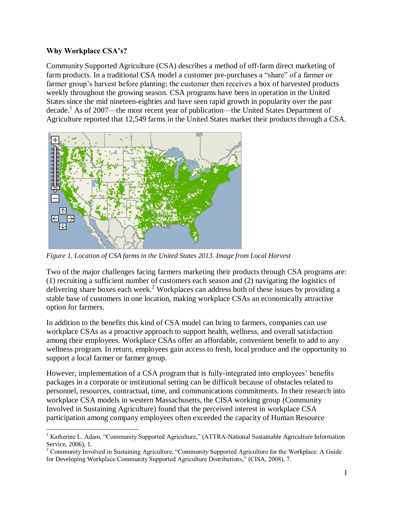## **Why Workplace CSA's?**

 $\overline{a}$ 

Community Supported Agriculture (CSA) describes a method of off-farm direct marketing of farm products. In a traditional CSA model a customer pre-purchases a "share" of a farmer or farmer group's harvest before planting; the customer then receives a box of harvested products weekly throughout the growing season. CSA programs have been in operation in the United States since the mid nineteen-eighties and have seen rapid growth in popularity over the past decade. <sup>1</sup> As of 2007—the most recent year of publication—the United States Department of Agriculture reported that 12,549 farms in the United States market their products through a CSA.



*Figure 1. Location of CSA farms in the United States 2013. Image from Local Harvest*

Two of the major challenges facing farmers marketing their products through CSA programs are: (1) recruiting a sufficient number of customers each season and (2) navigating the logistics of delivering share boxes each week.<sup>2</sup> Workplaces can address both of these issues by providing a stable base of customers in one location, making workplace CSAs an economically attractive option for farmers.

In addition to the benefits this kind of CSA model can bring to farmers, companies can use workplace CSAs as a proactive approach to support health, wellness, and overall satisfaction among their employees. Workplace CSAs offer an affordable, convenient benefit to add to any wellness program. In return, employees gain access to fresh, local produce and the opportunity to support a local farmer or farmer group.

However, implementation of a CSA program that is fully-integrated into employees' benefits packages in a corporate or institutional setting can be difficult because of obstacles related to personnel, resources, contractual, time, and communications commitments. In their research into workplace CSA models in western Massachusetts, the CISA working group (Community Involved in Sustaining Agriculture) found that the perceived interest in workplace CSA participation among company employees often exceeded the capacity of Human Resource

<sup>&</sup>lt;sup>1</sup> Katherine L. Adam, "Community Supported Agriculture," (ATTRA-National Sustainable Agriculture Information Service, 2006), 1.

 $2^2$  Community Involved in Sustaining Agriculture, "Community Supported Agriculture for the Workplace: A Guide for Developing Workplace Community Supported Agriculture Distributions," (CISA, 2008), 7.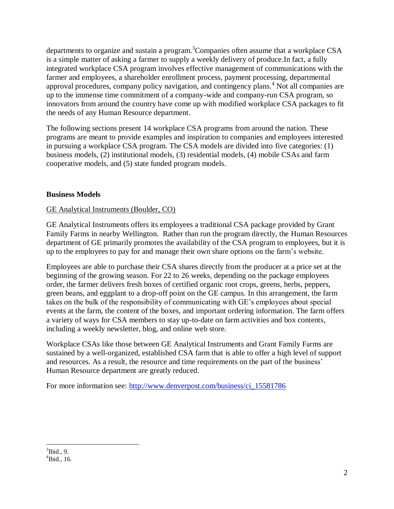departments to organize and sustain a program.<sup>3</sup>Companies often assume that a workplace CSA is a simple matter of asking a farmer to supply a weekly delivery of produce.In fact, a fully integrated workplace CSA program involves effective management of communications with the farmer and employees, a shareholder enrollment process, payment processing, departmental approval procedures, company policy navigation, and contingency plans.<sup>4</sup> Not all companies are up to the immense time commitment of a company-wide and company-run CSA program, so innovators from around the country have come up with modified workplace CSA packages to fit the needs of any Human Resource department.

The following sections present 14 workplace CSA programs from around the nation. These programs are meant to provide examples and inspiration to companies and employees interested in pursuing a workplace CSA program. The CSA models are divided into five categories: (1) business models, (2) institutional models, (3) residential models, (4) mobile CSAs and farm cooperative models, and (5) state funded program models.

## **Business Models**

## GE Analytical Instruments (Boulder, CO)

GE Analytical Instruments offers its employees a traditional CSA package provided by Grant Family Farms in nearby Wellington. Rather than run the program directly, the Human Resources department of GE primarily promotes the availability of the CSA program to employees, but it is up to the employees to pay for and manage their own share options on the farm's website.

Employees are able to purchase their CSA shares directly from the producer at a price set at the beginning of the growing season. For 22 to 26 weeks, depending on the package employees order, the farmer delivers fresh boxes of certified organic root crops, greens, herbs, peppers, green beans, and eggplant to a drop-off point on the GE campus. In this arrangement, the farm takes on the bulk of the responsibility of communicating with GE's employees about special events at the farm, the content of the boxes, and important ordering information. The farm offers a variety of ways for CSA members to stay up-to-date on farm activities and box contents, including a weekly newsletter, blog, and online web store.

Workplace CSAs like those between GE Analytical Instruments and Grant Family Farms are sustained by a well-organized, established CSA farm that is able to offer a high level of support and resources. As a result, the resource and time requirements on the part of the business' Human Resource department are greatly reduced.

For more information see: [http://www.denverpost.com/business/ci\\_15581786](http://www.denverpost.com/business/ci_15581786)

 3 Ibid., 9.

 $4$ Ibid., 16.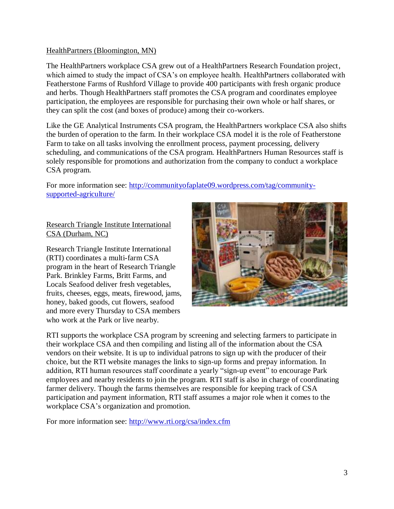## HealthPartners (Bloomington, MN)

The HealthPartners workplace CSA grew out of a HealthPartners Research Foundation project, which aimed to study the impact of CSA's on employee health. HealthPartners collaborated with Featherstone Farms of Rushford Village to provide 400 participants with fresh organic produce and herbs. Though HealthPartners staff promotes the CSA program and coordinates employee participation, the employees are responsible for purchasing their own whole or half shares, or they can split the cost (and boxes of produce) among their co-workers.

Like the GE Analytical Instruments CSA program, the HealthPartners workplace CSA also shifts the burden of operation to the farm. In their workplace CSA model it is the role of Featherstone Farm to take on all tasks involving the enrollment process, payment processing, delivery scheduling, and communications of the CSA program. HealthPartners Human Resources staff is solely responsible for promotions and authorization from the company to conduct a workplace CSA program.

For more information see: [http://communityofaplate09.wordpress.com/tag/community](http://communityofaplate09.wordpress.com/tag/community-supported-agriculture/)[supported-agriculture/](http://communityofaplate09.wordpress.com/tag/community-supported-agriculture/)

## Research Triangle Institute International CSA (Durham, NC)

Research Triangle Institute International (RTI) coordinates a multi-farm CSA program in the heart of Research Triangle Park. Brinkley Farms, Britt Farms, and Locals Seafood deliver fresh vegetables, fruits, cheeses, eggs, meats, firewood, jams, honey, baked goods, cut flowers, seafood and more every Thursday to CSA members who work at the Park or live nearby.



RTI supports the workplace CSA program by screening and selecting farmers to participate in their workplace CSA and then compiling and listing all of the information about the CSA vendors on their website. It is up to individual patrons to sign up with the producer of their choice, but the RTI website manages the links to sign-up forms and prepay information. In addition, RTI human resources staff coordinate a yearly "sign-up event" to encourage Park employees and nearby residents to join the program. RTI staff is also in charge of coordinating farmer delivery. Though the farms themselves are responsible for keeping track of CSA participation and payment information, RTI staff assumes a major role when it comes to the workplace CSA's organization and promotion.

For more information see:<http://www.rti.org/csa/index.cfm>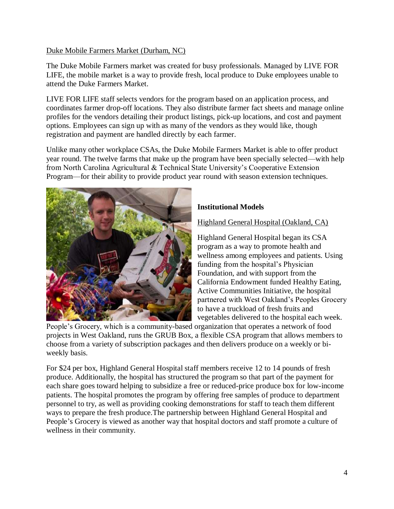## Duke Mobile Farmers Market (Durham, NC)

The Duke Mobile Farmers market was created for busy professionals. Managed by LIVE FOR LIFE, the mobile market is a way to provide fresh, local produce to Duke employees unable to attend the Duke Farmers Market.

LIVE FOR LIFE staff selects vendors for the program based on an application process, and coordinates farmer drop-off locations. They also distribute farmer fact sheets and manage online profiles for the vendors detailing their product listings, pick-up locations, and cost and payment options. Employees can sign up with as many of the vendors as they would like, though registration and payment are handled directly by each farmer.

Unlike many other workplace CSAs, the Duke Mobile Farmers Market is able to offer product year round. The twelve farms that make up the program have been specially selected—with help from North Carolina Agricultural & Technical State University's Cooperative Extension Program—for their ability to provide product year round with season extension techniques.



# **Institutional Models**

Highland General Hospital (Oakland, CA)

Highland General Hospital began its CSA program as a way to promote health and wellness among employees and patients. Using funding from the hospital's Physician Foundation, and with support from the California Endowment funded Healthy Eating, Active Communities Initiative, the hospital partnered with West Oakland's Peoples Grocery to have a truckload of fresh fruits and vegetables delivered to the hospital each week.

People's Grocery, which is a community-based organization that operates a network of food projects in West Oakland, runs the GRUB Box, a flexible CSA program that allows members to choose from a variety of subscription packages and then delivers produce on a weekly or biweekly basis.

For \$24 per box, Highland General Hospital staff members receive 12 to 14 pounds of fresh produce. Additionally, the hospital has structured the program so that part of the payment for each share goes toward helping to subsidize a free or reduced-price produce box for low-income patients. The hospital promotes the program by offering free samples of produce to department personnel to try, as well as providing cooking demonstrations for staff to teach them different ways to prepare the fresh produce.The partnership between Highland General Hospital and People's Grocery is viewed as another way that hospital doctors and staff promote a culture of wellness in their community.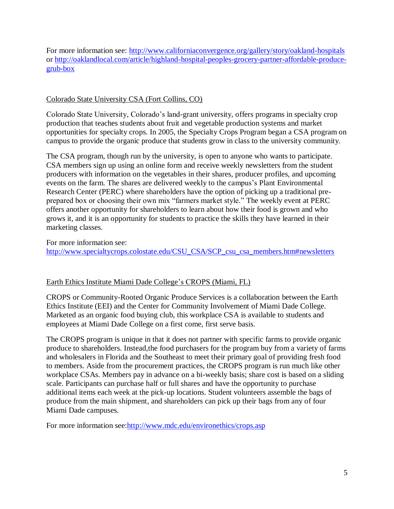For more information see:<http://www.californiaconvergence.org/gallery/story/oakland-hospitals> or [http://oaklandlocal.com/article/highland-hospital-peoples-grocery-partner-affordable-produce](http://oaklandlocal.com/article/highland-hospital-peoples-grocery-partner-affordable-produce-grub-box)[grub-box](http://oaklandlocal.com/article/highland-hospital-peoples-grocery-partner-affordable-produce-grub-box)

## Colorado State University CSA (Fort Collins, CO)

Colorado State University, Colorado's land-grant university, offers programs in specialty crop production that teaches students about fruit and vegetable production systems and market opportunities for specialty crops. In 2005, the Specialty Crops Program began a CSA program on campus to provide the organic produce that students grow in class to the university community.

The CSA program, though run by the university, is open to anyone who wants to participate. CSA members sign up using an online form and receive weekly newsletters from the student producers with information on the vegetables in their shares, producer profiles, and upcoming events on the farm. The shares are delivered weekly to the campus's Plant Environmental Research Center (PERC) where shareholders have the option of picking up a traditional preprepared box or choosing their own mix "farmers market style." The weekly event at PERC offers another opportunity for shareholders to learn about how their food is grown and who grows it, and it is an opportunity for students to practice the skills they have learned in their marketing classes.

For more information see:

[http://www.specialtycrops.colostate.edu/CSU\\_CSA/SCP\\_csu\\_csa\\_members.htm#newsletters](http://www.specialtycrops.colostate.edu/CSU_CSA/SCP_csu_csa_members.htm#newsletters)

# Earth Ethics Institute Miami Dade College's CROPS (Miami, FL)

CROPS or Community-Rooted Organic Produce Services is a collaboration between the Earth Ethics Institute (EEI) and the Center for Community Involvement of Miami Dade College. Marketed as an organic food buying club, this workplace CSA is available to students and employees at Miami Dade College on a first come, first serve basis.

The CROPS program is unique in that it does not partner with specific farms to provide organic produce to shareholders. Instead,the food purchasers for the program buy from a variety of farms and wholesalers in Florida and the Southeast to meet their primary goal of providing fresh food to members. Aside from the procurement practices, the CROPS program is run much like other workplace CSAs. Members pay in advance on a bi-weekly basis; share cost is based on a sliding scale. Participants can purchase half or full shares and have the opportunity to purchase additional items each week at the pick-up locations. Student volunteers assemble the bags of produce from the main shipment, and shareholders can pick up their bags from any of four Miami Dade campuses.

For more information see[:http://www.mdc.edu/environethics/crops.asp](http://www.mdc.edu/environethics/crops.asp)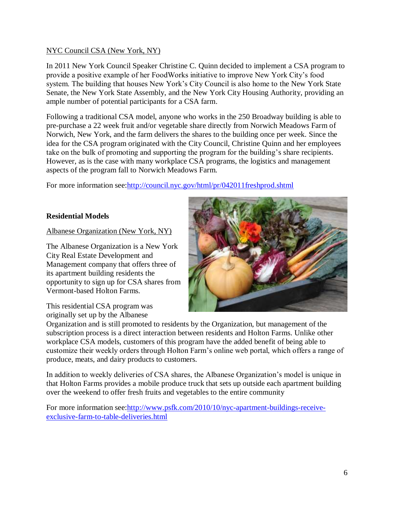## NYC Council CSA (New York, NY)

In 2011 New York Council Speaker Christine C. Quinn decided to implement a CSA program to provide a positive example of her FoodWorks initiative to improve New York City's food system. The building that houses New York's City Council is also home to the New York State Senate, the New York State Assembly, and the New York City Housing Authority, providing an ample number of potential participants for a CSA farm.

Following a traditional CSA model, anyone who works in the 250 Broadway building is able to pre-purchase a 22 week fruit and/or vegetable share directly from Norwich Meadows Farm of Norwich, New York, and the farm delivers the shares to the building once per week. Since the idea for the CSA program originated with the City Council, Christine Quinn and her employees take on the bulk of promoting and supporting the program for the building's share recipients. However, as is the case with many workplace CSA programs, the logistics and management aspects of the program fall to Norwich Meadows Farm.

For more information see[:http://council.nyc.gov/html/pr/042011freshprod.shtml](http://council.nyc.gov/html/pr/042011freshprod.shtml)

# **Residential Models**

Albanese Organization (New York, NY)

The Albanese Organization is a New York City Real Estate Development and Management company that offers three of its apartment building residents the opportunity to sign up for CSA shares from Vermont-based Holton Farms.

This residential CSA program was originally set up by the Albanese

Organization and is still promoted to residents by the Organization, but management of the subscription process is a direct interaction between residents and Holton Farms. Unlike other workplace CSA models, customers of this program have the added benefit of being able to customize their weekly orders through Holton Farm's online web portal, which offers a range of produce, meats, and dairy products to customers.

In addition to weekly deliveries of CSA shares, the Albanese Organization's model is unique in that Holton Farms provides a mobile produce truck that sets up outside each apartment building over the weekend to offer fresh fruits and vegetables to the entire community

For more information see: http://www.psfk.com/2010/10/nyc-apartment-buildings-receive[exclusive-farm-to-table-deliveries.html](http://www.psfk.com/2010/10/nyc-apartment-buildings-receive-exclusive-farm-to-table-deliveries.html)

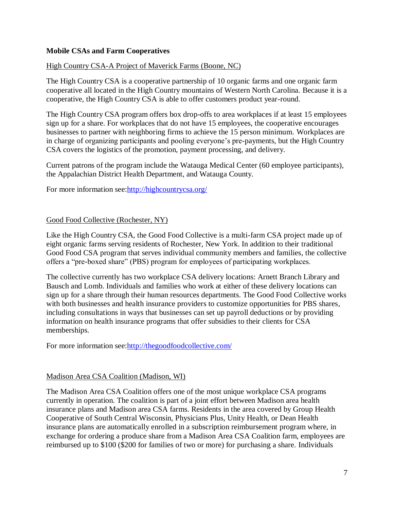## **Mobile CSAs and Farm Cooperatives**

## High Country CSA-A Project of Maverick Farms (Boone, NC)

The High Country CSA is a cooperative partnership of 10 organic farms and one organic farm cooperative all located in the High Country mountains of Western North Carolina. Because it is a cooperative, the High Country CSA is able to offer customers product year-round.

The High Country CSA program offers box drop-offs to area workplaces if at least 15 employees sign up for a share. For workplaces that do not have 15 employees, the cooperative encourages businesses to partner with neighboring firms to achieve the 15 person minimum. Workplaces are in charge of organizing participants and pooling everyone's pre-payments, but the High Country CSA covers the logistics of the promotion, payment processing, and delivery.

Current patrons of the program include the Watauga Medical Center (60 employee participants), the Appalachian District Health Department, and Watauga County.

For more information see[:http://highcountrycsa.org/](http://highcountrycsa.org/)

## Good Food Collective (Rochester, NY)

Like the High Country CSA, the Good Food Collective is a multi-farm CSA project made up of eight organic farms serving residents of Rochester, New York. In addition to their traditional Good Food CSA program that serves individual community members and families, the collective offers a "pre-boxed share" (PBS) program for employees of participating workplaces.

The collective currently has two workplace CSA delivery locations: Arnett Branch Library and Bausch and Lomb. Individuals and families who work at either of these delivery locations can sign up for a share through their human resources departments. The Good Food Collective works with both businesses and health insurance providers to customize opportunities for PBS shares, including consultations in ways that businesses can set up payroll deductions or by providing information on health insurance programs that offer subsidies to their clients for CSA memberships.

For more information see[:http://thegoodfoodcollective.com/](http://thegoodfoodcollective.com/)

#### Madison Area CSA Coalition (Madison, WI)

The Madison Area CSA Coalition offers one of the most unique workplace CSA programs currently in operation. The coalition is part of a joint effort between Madison area health insurance plans and Madison area CSA farms. Residents in the area covered by Group Health Cooperative of South Central Wisconsin, Physicians Plus, Unity Health, or Dean Health insurance plans are automatically enrolled in a subscription reimbursement program where, in exchange for ordering a produce share from a Madison Area CSA Coalition farm, employees are reimbursed up to \$100 (\$200 for families of two or more) for purchasing a share. Individuals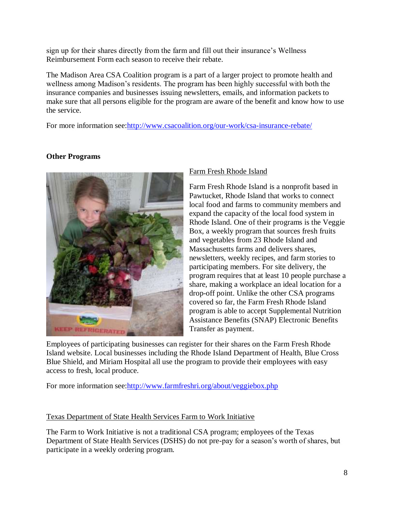sign up for their shares directly from the farm and fill out their insurance's Wellness Reimbursement Form each season to receive their rebate.

The Madison Area CSA Coalition program is a part of a larger project to promote health and wellness among Madison's residents. The program has been highly successful with both the insurance companies and businesses issuing newsletters, emails, and information packets to make sure that all persons eligible for the program are aware of the benefit and know how to use the service.

For more information see[:http://www.csacoalition.org/our-work/csa-insurance-rebate/](http://www.csacoalition.org/our-work/csa-insurance-rebate/)

# **Other Programs**



# Farm Fresh Rhode Island

Farm Fresh Rhode Island is a nonprofit based in Pawtucket, Rhode Island that works to connect local food and farms to community members and expand the capacity of the local food system in Rhode Island. One of their programs is the Veggie Box, a weekly program that sources fresh fruits and vegetables from 23 Rhode Island and Massachusetts farms and delivers shares, newsletters, weekly recipes, and farm stories to participating members. For site delivery, the program requires that at least 10 people purchase a share, making a workplace an ideal location for a drop-off point. Unlike the other CSA programs covered so far, the Farm Fresh Rhode Island program is able to accept Supplemental Nutrition Assistance Benefits (SNAP) Electronic Benefits Transfer as payment.

Employees of participating businesses can register for their shares on the Farm Fresh Rhode Island website. Local businesses including the Rhode Island Department of Health, Blue Cross Blue Shield, and Miriam Hospital all use the program to provide their employees with easy access to fresh, local produce.

For more information see[:http://www.farmfreshri.org/about/veggiebox.php](http://www.farmfreshri.org/about/veggiebox.php)

# Texas Department of State Health Services Farm to Work Initiative

The Farm to Work Initiative is not a traditional CSA program; employees of the Texas Department of State Health Services (DSHS) do not pre-pay for a season's worth of shares, but participate in a weekly ordering program.